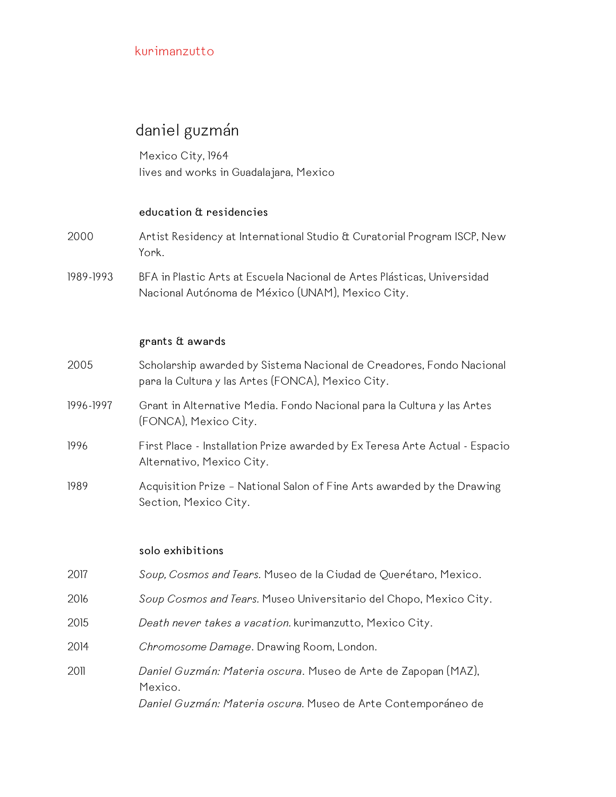# daniel guzmán

Mexico City, 1964 lives and works in Guadalajara, Mexico

#### **education & residencies**

- 2000 Artist Residency at International Studio & Curatorial Program ISCP, New York.
- 1989-1993 BFA in Plastic Arts at Escuela Nacional de Artes Plásticas, Universidad Nacional Autónoma de México (UNAM), Mexico City.

#### **grants & awards**

- 2005 Scholarship awarded by Sistema Nacional de Creadores, Fondo Nacional para la Cultura y las Artes (FONCA), Mexico City.
- 1996-1997 Grant in Alternative Media. Fondo Nacional para la Cultura y las Artes (FONCA), Mexico City.
- 1996 First Place Installation Prize awarded by Ex Teresa Arte Actual Espacio Alternativo, Mexico City.
- 1989 Acquisition Prize National Salon of Fine Arts awarded by the Drawing Section, Mexico City.

#### **solo exhibitions**

- 2017 *Soup, Cosmos and Tears.* Museo de la Ciudad de Querétaro, Mexico.
- 2016 *Soup Cosmos and Tears.* Museo Universitario del Chopo, Mexico City.
- 2015 *Death never takes a vacation.* kurimanzutto, Mexico City.
- 2014 *Chromosome Damage*. Drawing Room, London.
- 2011 *Daniel Guzmán: Materia oscura*. Museo de Arte de Zapopan (MAZ), Mexico. *Daniel Guzmán: Materia oscura.* Museo de Arte Contemporáneo de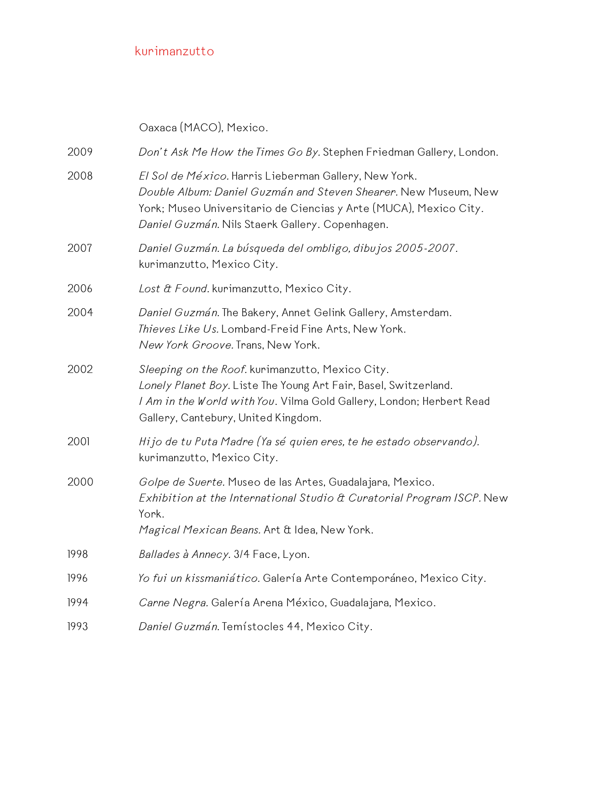Oaxaca (MACO), Mexico.

| 2009 | Don't Ask Me How the Times Go By. Stephen Friedman Gallery, London.                                                                                                                                                                              |
|------|--------------------------------------------------------------------------------------------------------------------------------------------------------------------------------------------------------------------------------------------------|
| 2008 | El Sol de México. Harris Lieberman Gallery, New York.<br>Double Album: Daniel Guzmán and Steven Shearer. New Museum, New<br>York; Museo Universitario de Ciencias y Arte (MUCA), Mexico City.<br>Daniel Guzmán. Nils Staerk Gallery. Copenhagen. |
| 2007 | Daniel Guzmán. La búsqueda del ombligo, dibujos 2005-2007.<br>kurimanzutto, Mexico City.                                                                                                                                                         |
| 2006 | Lost & Found. kurimanzutto, Mexico City.                                                                                                                                                                                                         |
| 2004 | Daniel Guzmán. The Bakery, Annet Gelink Gallery, Amsterdam.<br>Thieves Like Us. Lombard-Freid Fine Arts, New York.<br>New York Groove. Trans, New York.                                                                                          |
| 2002 | Sleeping on the Roof. kurimanzutto, Mexico City.<br>Lonely Planet Boy. Liste The Young Art Fair, Basel, Switzerland.<br>I Am in the World with You. Vilma Gold Gallery, London; Herbert Read<br>Gallery, Cantebury, United Kingdom.              |
| 2001 | Hijo de tu Puta Madre (Ya sé quien eres, te he estado observando).<br>kurimanzutto, Mexico City.                                                                                                                                                 |
| 2000 | Golpe de Suerte. Museo de las Artes, Guadalajara, Mexico.<br>Exhibition at the International Studio & Curatorial Program ISCP. New<br>York.<br>Magical Mexican Beans. Art & Idea, New York.                                                      |
| 1998 | Ballades à Annecy. 3/4 Face, Lyon.                                                                                                                                                                                                               |
| 1996 | Yo fui un kissmaniático. Galería Arte Contemporáneo, Mexico City.                                                                                                                                                                                |
| 1994 | Carne Negra. Galería Arena México, Guadalajara, Mexico.                                                                                                                                                                                          |
| 1993 | Daniel Guzmán. Temístocles 44, Mexico City.                                                                                                                                                                                                      |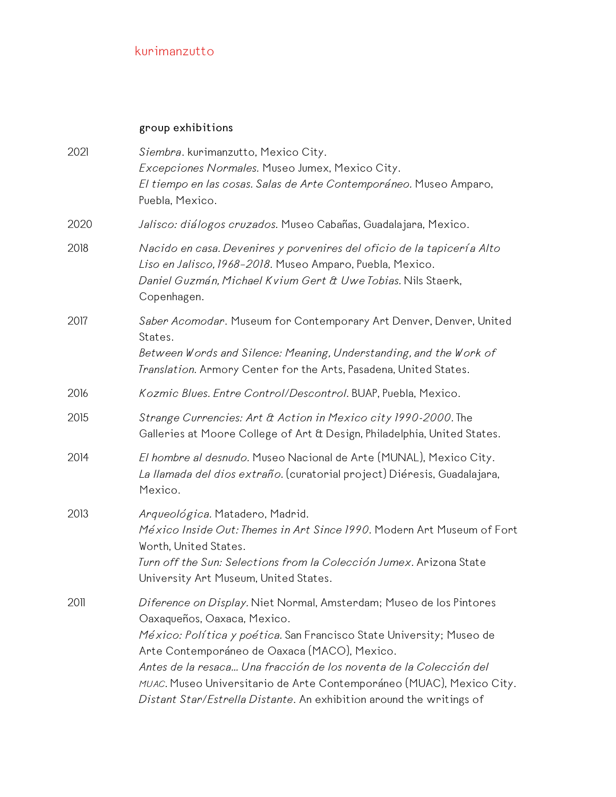### **group exhibitions**

| 2021 | Siembra. kurimanzutto, Mexico City.<br>Excepciones Normales. Museo Jumex, Mexico City.<br>El tiempo en las cosas. Salas de Arte Contemporáneo. Museo Amparo,<br>Puebla, Mexico.                                                                                                                                                                                                                                                                  |
|------|--------------------------------------------------------------------------------------------------------------------------------------------------------------------------------------------------------------------------------------------------------------------------------------------------------------------------------------------------------------------------------------------------------------------------------------------------|
| 2020 | Jalisco: diálogos cruzados. Museo Cabañas, Guadalajara, Mexico.                                                                                                                                                                                                                                                                                                                                                                                  |
| 2018 | Nacido en casa. Devenires y porvenires del oficio de la tapicería Alto<br>Liso en Jalisco, 1968-2018. Museo Amparo, Puebla, Mexico.<br>Daniel Guzmán, Michael Kvium Gert & Uwe Tobias. Nils Staerk,<br>Copenhagen.                                                                                                                                                                                                                               |
| 2017 | Saber Acomodar. Museum for Contemporary Art Denver, Denver, United<br>States.<br>Between Words and Silence: Meaning, Understanding, and the Work of<br>Translation. Armory Center for the Arts, Pasadena, United States.                                                                                                                                                                                                                         |
| 2016 | Kozmic Blues. Entre Control/Descontrol. BUAP, Puebla, Mexico.                                                                                                                                                                                                                                                                                                                                                                                    |
| 2015 | Strange Currencies: Art & Action in Mexico city 1990-2000. The<br>Galleries at Moore College of Art & Design, Philadelphia, United States.                                                                                                                                                                                                                                                                                                       |
| 2014 | El hombre al desnudo. Museo Nacional de Arte (MUNAL), Mexico City.<br>La llamada del dios extraño. (curatorial project) Diéresis, Guadalajara,<br>Mexico.                                                                                                                                                                                                                                                                                        |
| 2013 | Arqueológica. Matadero, Madrid.<br>México Inside Out: Themes in Art Since 1990. Modern Art Museum of Fort<br>Worth, United States.<br>Turn off the Sun: Selections from la Colección Jumex. Arizona State<br>University Art Museum, United States.                                                                                                                                                                                               |
| 2011 | Diference on Display. Niet Normal, Amsterdam; Museo de los Pintores<br>Oaxaqueños, Oaxaca, Mexico.<br>México: Política y poética. San Francisco State University; Museo de<br>Arte Contemporáneo de Oaxaca (MACO), Mexico.<br>Antes de la resaca Una fracción de los noventa de la Colección del<br>MUAC. Museo Universitario de Arte Contemporáneo (MUAC), Mexico City.<br>Distant Star/Estrella Distante. An exhibition around the writings of |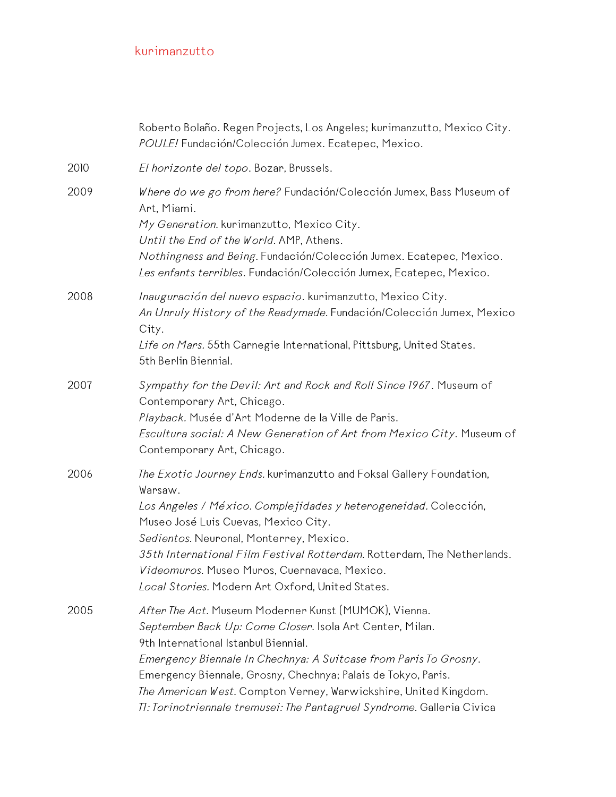|      | Roberto Bolaño. Regen Projects, Los Angeles; kurimanzutto, Mexico City.<br>POULE! Fundación/Colección Jumex. Ecatepec, Mexico.                                                                                                                                                                                                                                                                                                               |
|------|----------------------------------------------------------------------------------------------------------------------------------------------------------------------------------------------------------------------------------------------------------------------------------------------------------------------------------------------------------------------------------------------------------------------------------------------|
| 2010 | El horizonte del topo. Bozar, Brussels.                                                                                                                                                                                                                                                                                                                                                                                                      |
| 2009 | Where do we go from here? Fundación/Colección Jumex, Bass Museum of<br>Art, Miami.<br>My Generation. kurimanzutto, Mexico City.<br>Until the End of the World. AMP, Athens.<br>Nothingness and Being. Fundación/Colección Jumex. Ecatepec, Mexico.<br>Les enfants terribles. Fundación/Colección Jumex, Ecatepec, Mexico.                                                                                                                    |
| 2008 | Inauguración del nuevo espacio. kurimanzutto, Mexico City.<br>An Unruly History of the Readymade. Fundación/Colección Jumex, Mexico<br>City.<br>Life on Mars. 55th Carnegie International, Pittsburg, United States.<br>5th Berlin Biennial.                                                                                                                                                                                                 |
| 2007 | Sympathy for the Devil: Art and Rock and Roll Since 1967. Museum of<br>Contemporary Art, Chicago.<br>Playback. Musée d'Art Moderne de la Ville de Paris.<br>Escultura social: A New Generation of Art from Mexico City. Museum of<br>Contemporary Art, Chicago.                                                                                                                                                                              |
| 2006 | The Exotic Journey Ends. kurimanzutto and Foksal Gallery Foundation,<br>Warsaw.<br>Los Angeles / México. Complejidades y heterogeneidad. Colección,<br>Museo José Luis Cuevas, Mexico City.<br>Sedientos. Neuronal, Monterrey, Mexico.<br>35th International Film Festival Rotterdam. Rotterdam, The Netherlands.<br>Videomuros. Museo Muros, Cuernavaca, Mexico.<br>Local Stories. Modern Art Oxford, United States.                        |
| 2005 | After The Act. Museum Moderner Kunst (MUMOK), Vienna.<br>September Back Up: Come Closer. Isola Art Center, Milan.<br>9th International Istanbul Biennial.<br>Emergency Biennale In Chechnya: A Suitcase from Paris To Grosny.<br>Emergency Biennale, Grosny, Chechnya; Palais de Tokyo, Paris.<br>The American West. Compton Verney, Warwickshire, United Kingdom.<br>TI: Torinotriennale tremusei: The Pantagruel Syndrome. Galleria Civica |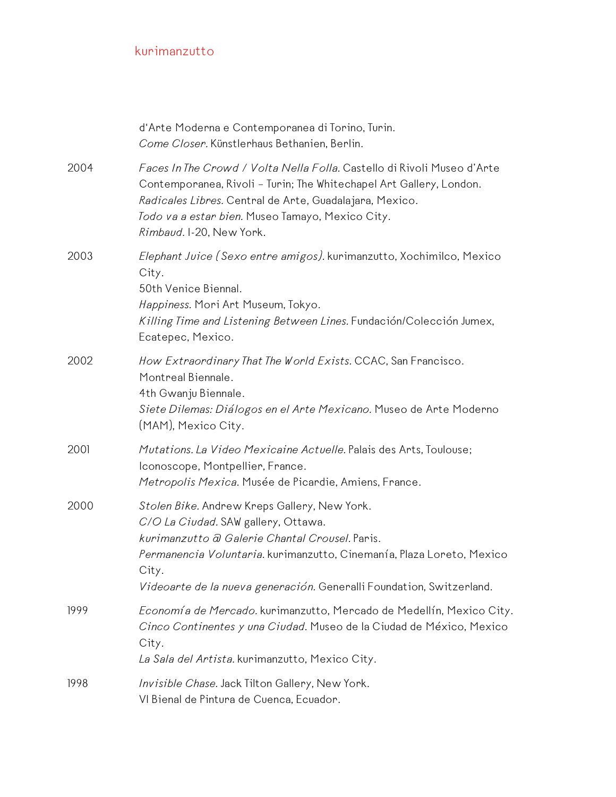|      | d'Arte Moderna e Contemporanea di Torino, Turin.<br>Come Closer. Künstlerhaus Bethanien, Berlin.                                                                                                                                                                                                |
|------|-------------------------------------------------------------------------------------------------------------------------------------------------------------------------------------------------------------------------------------------------------------------------------------------------|
| 2004 | Faces In The Crowd / Volta Nella Folla. Castello di Rivoli Museo d'Arte<br>Contemporanea, Rivoli - Turin; The Whitechapel Art Gallery, London.<br>Radicales Libres. Central de Arte, Guadalajara, Mexico.<br>Todo va a estar bien. Museo Tamayo, Mexico City.<br>Rimbaud. I-20, New York.       |
| 2003 | Elephant Juice (Sexo entre amigos). kurimanzutto, Xochimilco, Mexico<br>City.<br>50th Venice Biennal.<br>Happiness. Mori Art Museum, Tokyo.<br>Killing Time and Listening Between Lines. Fundación/Colección Jumex,<br>Ecatepec, Mexico.                                                        |
| 2002 | How Extraordinary That The World Exists. CCAC, San Francisco.<br>Montreal Biennale.<br>4th Gwanju Biennale.<br>Siete Dilemas: Diálogos en el Arte Mexicano. Museo de Arte Moderno<br>(MAM), Mexico City.                                                                                        |
| 2001 | Mutations. La Video Mexicaine Actuelle. Palais des Arts, Toulouse;<br>Iconoscope, Montpellier, France.<br>Metropolis Mexica. Musée de Picardie, Amiens, France.                                                                                                                                 |
| 2000 | Stolen Bike. Andrew Kreps Gallery, New York.<br>C/O La Ciudad. SAW gallery, Ottawa.<br>kurimanzutto a Galerie Chantal Crousel. Paris.<br>Permanencia Voluntaria. kurimanzutto, Cinemanía, Plaza Loreto, Mexico<br>City.<br>Videoarte de la nueva generación. Generalli Foundation, Switzerland. |
| 1999 | Economía de Mercado. kurimanzutto, Mercado de Medellín, Mexico City.<br>Cinco Continentes y una Ciudad. Museo de la Ciudad de México, Mexico<br>City.<br>La Sala del Artista. kurimanzutto, Mexico City.                                                                                        |
| 1998 | Invisible Chase. Jack Tilton Gallery, New York.<br>VI Bienal de Pintura de Cuenca, Ecuador.                                                                                                                                                                                                     |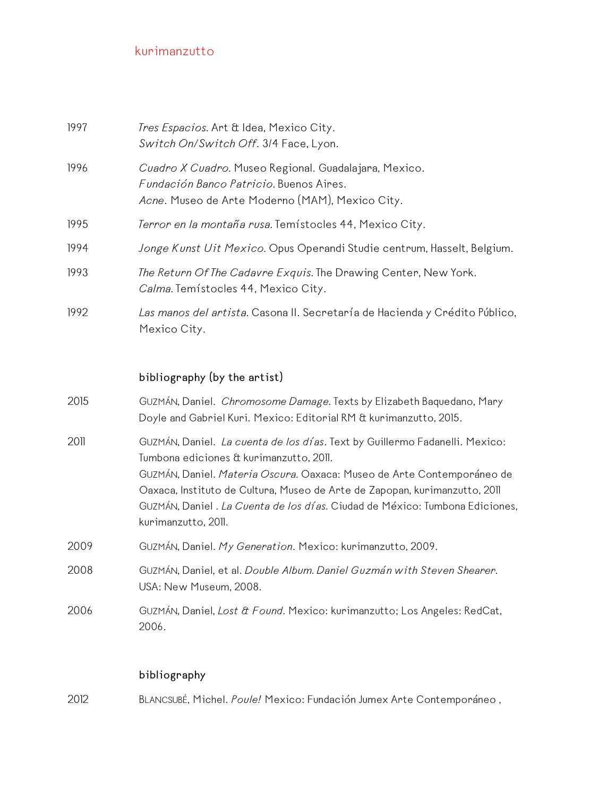| 1997 | Tres Espacios. Art & Idea, Mexico City.<br>Switch On/Switch Off. 3/4 Face, Lyon.                                                                    |
|------|-----------------------------------------------------------------------------------------------------------------------------------------------------|
| 1996 | Cuadro X Cuadro. Museo Regional. Guadalajara, Mexico.<br>Fundación Banco Patricio. Buenos Aires.<br>Acne. Museo de Arte Moderno (MAM), Mexico City. |
| 1995 | Terror en la montaña rusa. Temístocles 44, Mexico City.                                                                                             |
| 1994 | Jonge Kunst Uit Mexico. Opus Operandi Studie centrum, Hasselt, Belgium.                                                                             |
| 1993 | The Return Of The Cadavre Exquis. The Drawing Center, New York.<br>Calma. Temístocles 44, Mexico City.                                              |
| 1992 | Las manos del artista. Casona II. Secretaría de Hacienda y Crédito Público,<br>Mexico City.                                                         |

#### **bibliography (by the artist)**

| 2015 | GUZMÁN, Daniel. <i>Chromosome Damage</i> . Texts by Elizabeth Baquedano, Mary<br>Doyle and Gabriel Kuri. Mexico: Editorial RM & kurimanzutto, 2015.                                                                                                                                                                                                                                  |
|------|--------------------------------------------------------------------------------------------------------------------------------------------------------------------------------------------------------------------------------------------------------------------------------------------------------------------------------------------------------------------------------------|
| 2011 | GUZMÁN, Daniel. La cuenta de los días. Text by Guillermo Fadanelli. Mexico:<br>Tumbona ediciones & kurimanzutto, 2011.<br>GUZMÁN, Daniel. Materia Oscura. Oaxaca: Museo de Arte Contemporáneo de<br>Oaxaca, Instituto de Cultura, Museo de Arte de Zapopan, kurimanzutto, 2011<br>GUZMÁN, Daniel. La Cuenta de los días. Ciudad de México: Tumbona Ediciones,<br>kurimanzutto, 2011. |
| 2009 | GUZMÁN, Daniel. My Generation. Mexico: kurimanzutto, 2009.                                                                                                                                                                                                                                                                                                                           |
| 2008 | GUZMÁN, Daniel, et al. Double Album. Daniel Guzmán with Steven Shearer.<br>USA: New Museum, 2008.                                                                                                                                                                                                                                                                                    |
| 2006 | GUZMÁN, Daniel, Lost & Found. Mexico: kurimanzutto; Los Angeles: RedCat,<br>2006.                                                                                                                                                                                                                                                                                                    |

### **bibliography**

2012 BLANCSUBÉ, Michel. *Poule!* Mexico: Fundación Jumex Arte Contemporáneo ,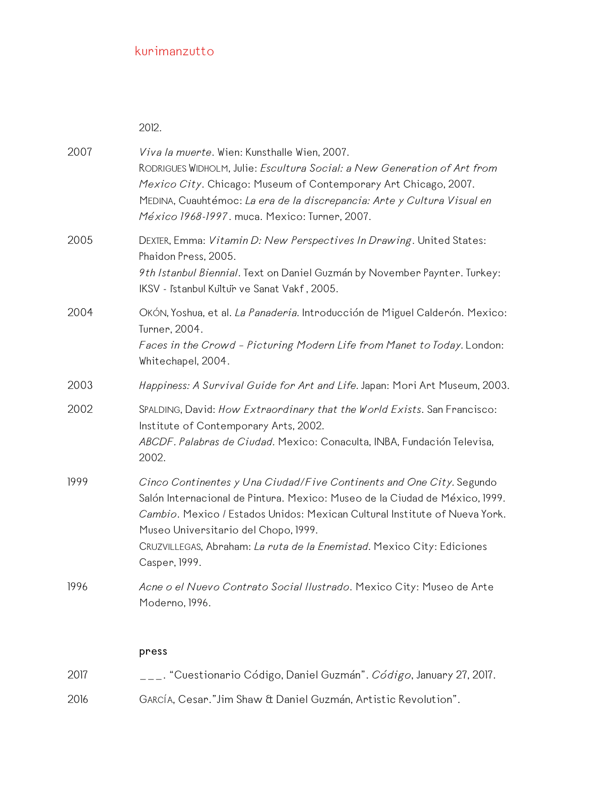2012.

| 2007 | Viva la muerte. Wien: Kunsthalle Wien, 2007.<br>RODRIGUES WIDHOLM, Julie: Escultura Social: a New Generation of Art from<br>Mexico City. Chicago: Museum of Contemporary Art Chicago, 2007.<br>MEDINA, Cuauhtémoc: La era de la discrepancia: Arte y Cultura Visual en<br>México 1968-1997. muca. Mexico: Turner, 2007.                                              |
|------|----------------------------------------------------------------------------------------------------------------------------------------------------------------------------------------------------------------------------------------------------------------------------------------------------------------------------------------------------------------------|
| 2005 | DEXTER, Emma: Vitamin D: New Perspectives In Drawing. United States:<br>Phaidon Press, 2005.<br>9th Istanbul Biennial. Text on Daniel Guzmán by November Paynter. Turkey:<br>IKSV - Istanbul Kultur ve Sanat Vakf, 2005.                                                                                                                                             |
| 2004 | OKÓN, Yoshua, et al. La Panaderia. Introducción de Miguel Calderón. Mexico:<br>Turner, 2004.<br>Faces in the Crowd - Picturing Modern Life from Manet to Today. London:<br>Whitechapel, 2004.                                                                                                                                                                        |
| 2003 | Happiness: A Survival Guide for Art and Life. Japan: Mori Art Museum, 2003.                                                                                                                                                                                                                                                                                          |
| 2002 | SPALDING, David: How Extraordinary that the World Exists. San Francisco:<br>Institute of Contemporary Arts, 2002.<br>ABCDF. Palabras de Ciudad. Mexico: Conaculta, INBA, Fundación Televisa,<br>2002.                                                                                                                                                                |
| 1999 | Cinco Continentes y Una Ciudad/Five Continents and One City. Segundo<br>Salón Internacional de Pintura. Mexico: Museo de la Ciudad de México, 1999.<br>Cambio. Mexico / Estados Unidos: Mexican Cultural Institute of Nueva York.<br>Museo Universitario del Chopo, 1999.<br>CRUZVILLEGAS, Abraham: La ruta de la Enemistad. Mexico City: Ediciones<br>Casper, 1999. |
| 1996 | Acne o el Nuevo Contrato Social Ilustrado. Mexico City: Museo de Arte<br>Moderno, 1996.                                                                                                                                                                                                                                                                              |
|      | press                                                                                                                                                                                                                                                                                                                                                                |
| 2017 | _. "Cuestionario Código, Daniel Guzmán". Código, January 27, 2017.                                                                                                                                                                                                                                                                                                   |
| 2016 | GARCÍA, Cesar."Jim Shaw & Daniel Guzmán, Artistic Revolution".                                                                                                                                                                                                                                                                                                       |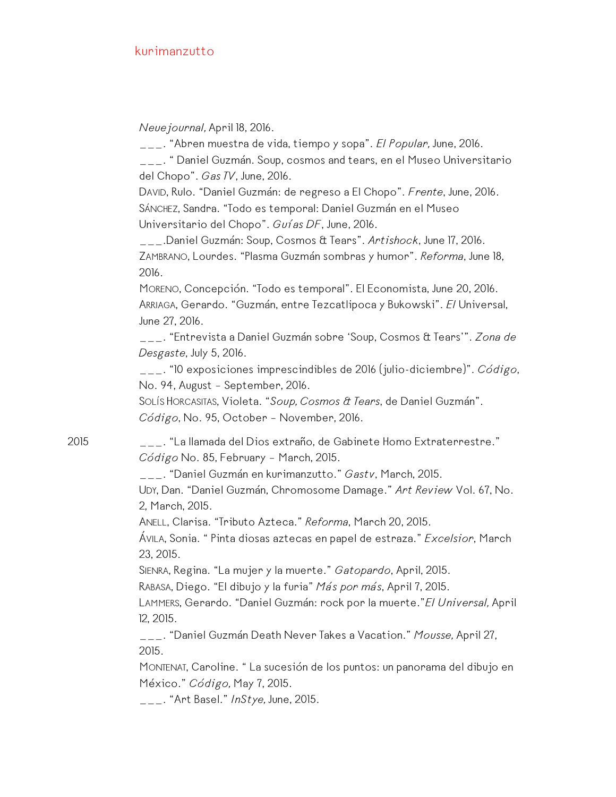*Neuejournal,* April 18, 2016.

\_\_\_. "Abren muestra de vida, tiempo y sopa". *El Popular,* June, 2016.

\_\_\_. " Daniel Guzmán. Soup, cosmos and tears, en el Museo Universitario del Chopo". *Gas TV*, June, 2016.

DAVID, Rulo. "Daniel Guzmán: de regreso a El Chopo". *Frente*, June, 2016. SÁNCHEZ, Sandra. "Todo es temporal: Daniel Guzmán en el Museo Universitario del Chopo". *Guías DF*, June, 2016.

\_\_\_.Daniel Guzmán: Soup, Cosmos & Tears". *Artishock*, June 17, 2016. ZAMBRANO, Lourdes. "Plasma Guzmán sombras y humor". *Reforma*, June 18, 2016.

MORENO, Concepción. "Todo es temporal". El Economista, June 20, 2016. ARRIAGA, Gerardo. "Guzmán, entre Tezcatlipoca y Bukowski". *El* Universal, June 27, 2016.

\_\_\_. "Entrevista a Daniel Guzmán sobre 'Soup, Cosmos & Tears'". *Zona de Desgaste*, July 5, 2016.

\_\_\_. "10 exposiciones imprescindibles de 2016 (julio-diciembre)". *Código*, No. 94, August – September, 2016.

SOLÍS HORCASITAS, Violeta. "*Soup, Cosmos & Tears*, de Daniel Guzmán". *Código*, No. 95, October – November, 2016.

2015 \_\_\_. "La llamada del Dios extraño, de Gabinete Homo Extraterrestre." *Código* No. 85, February – March, 2015.

\_\_\_. "Daniel Guzmán en kurimanzutto." *Gastv*, March, 2015.

UDY, Dan. "Daniel Guzmán, Chromosome Damage." *Art Review* Vol. 67, No. 2, March, 2015.

ANELL, Clarisa. "Tributo Azteca." *Reforma*, March 20, 2015.

ÁVILA, Sonia. " Pinta diosas aztecas en papel de estraza." *Excelsior*, March 23, 2015.

SIENRA, Regina. "La mujer y la muerte." *Gatopardo*, April, 2015.

RABASA, Diego. "El dibujo y la furia" *Más por más*, April 7, 2015.

LAMMERS, Gerardo. "Daniel Guzmán: rock por la muerte."*El Universal,* April 12, 2015.

\_\_\_. "Daniel Guzmán Death Never Takes a Vacation." *Mousse,* April 27, 2015.

MONTENAT, Caroline. " La sucesión de los puntos: un panorama del dibujo en México." *Código,* May 7, 2015.

\_\_\_. "Art Basel." *InStye,* June, 2015.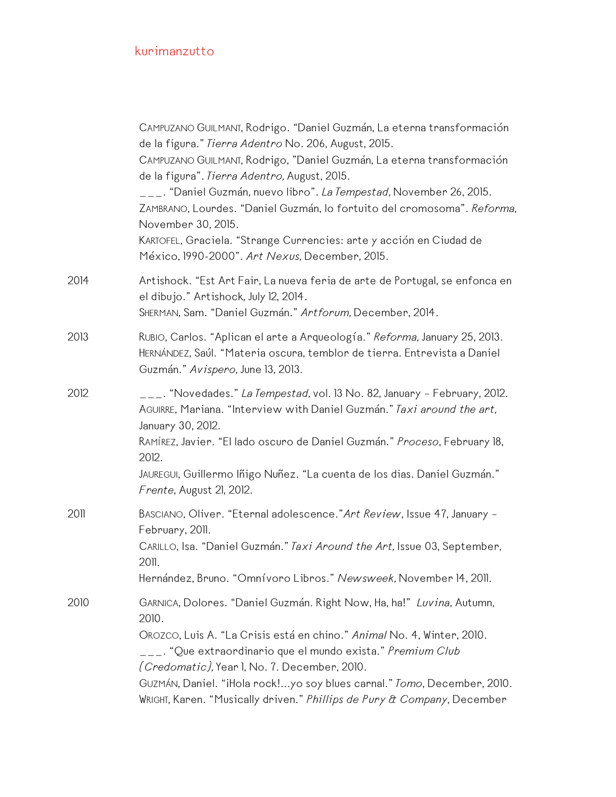|      | CAMPUZANO GUILMANT, Rodrigo. "Daniel Guzmán, La eterna transformación<br>de la figura." Tierra Adentro No. 206, August, 2015.<br>CAMPUZANO GUILMANT, Rodrigo, "Daniel Guzmán, La eterna transformación<br>de la figura". Tierra Adentro, August, 2015.<br>___. "Daniel Guzmán, nuevo libro". <i>La Tempestad,</i> November 26, 2015.<br>ZAMBRANO, Lourdes. "Daniel Guzmán, lo fortuito del cromosoma". Reforma,<br>November 30, 2015.<br>KARTOFEL, Graciela. "Strange Currencies: arte y acción en Ciudad de<br>México, 1990-2000". Art Nexus, December, 2015. |
|------|----------------------------------------------------------------------------------------------------------------------------------------------------------------------------------------------------------------------------------------------------------------------------------------------------------------------------------------------------------------------------------------------------------------------------------------------------------------------------------------------------------------------------------------------------------------|
| 2014 | Artishock. "Est Art Fair, La nueva feria de arte de Portugal, se enfonca en<br>el dibujo." Artishock, July 12, 2014.<br>SHERMAN, Sam. "Daniel Guzmán." Artforum, December, 2014.                                                                                                                                                                                                                                                                                                                                                                               |
| 2013 | RUBIO, Carlos. "Aplican el arte a Arqueología." Reforma, January 25, 2013.<br>HERNÁNDEZ, Saúl. "Materia oscura, temblor de tierra. Entrevista a Daniel<br>Guzmán." Avispero, June 13, 2013.                                                                                                                                                                                                                                                                                                                                                                    |
| 2012 | ___. "Novedades." <i>La Tempestad,</i> vol. 13 No. 82, January - February, 2012.<br>AGUIRRE, Mariana. "Interview with Daniel Guzmán." Taxi around the art,<br>January 30, 2012.<br>RAMÍREZ, Javier. "El lado oscuro de Daniel Guzmán." Proceso, February 18,<br>2012.<br>JAUREGUI, Guillermo Iñigo Nuñez. "La cuenta de los dias. Daniel Guzmán."<br>Frente, August 21, 2012.                                                                                                                                                                                  |
| 2011 | BASCIANO, Oliver. "Eternal adolescence." Art Review, Issue 47, January -<br>February, 2011.<br>CARILLO, Isa. "Daniel Guzmán." Taxi Around the Art, Issue 03, September,<br>2011.<br>Hernández, Bruno. "Omnívoro Libros." Newsweek, November 14, 2011.                                                                                                                                                                                                                                                                                                          |
| 2010 | GARNICA, Dolores. "Daniel Guzmán. Right Now, Ha, ha!" Luvina, Autumn,<br>2010.<br>OROZCO, Luis A. "La Crisis está en chino." Animal No. 4, Winter, 2010.<br>__. "Que extraordinario que el mundo exista." Premium Club<br>(Credomatic), Year I, No. 7. December, 2010.<br>GUZMÁN, Daniel. "iHola rock!yo soy blues carnal." Tomo, December, 2010.<br>WRIGHT, Karen. "Musically driven." Phillips de Pury & Company, December                                                                                                                                   |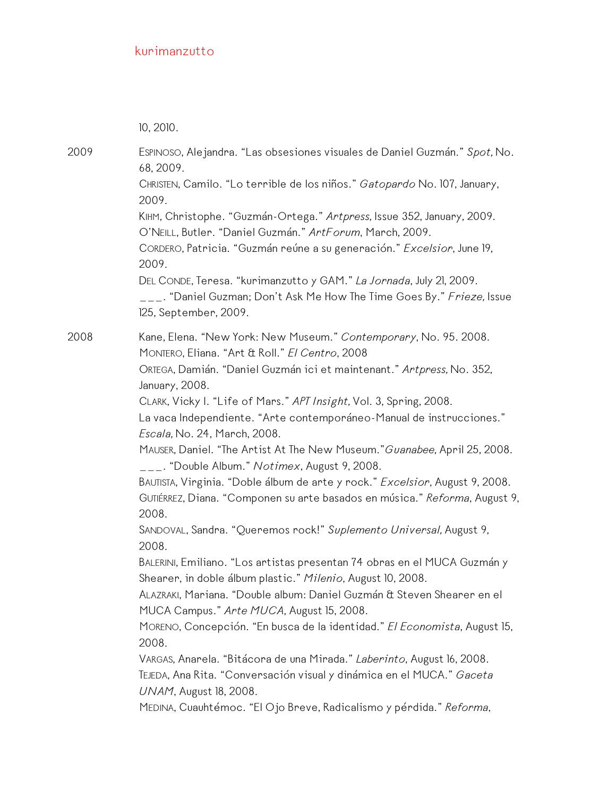10, 2010.

2009 ESPINOSO, Alejandra. "Las obsesiones visuales de Daniel Guzmán." *Spot,* No. 68, 2009. CHRISTEN, Camilo. "Lo terrible de los niños." *Gatopardo* No. 107, January, 2009. KIHM, Christophe. "Guzmán-Ortega." *Artpress,* Issue 352, January, 2009. O'NEILL, Butler. "Daniel Guzmán." *ArtForum*, March, 2009. CORDERO, Patricia. "Guzmán reúne a su generación." *Excelsior*, June 19, 2009. DEL CONDE, Teresa. "kurimanzutto y GAM." *La Jornada*, July 21, 2009. \_\_\_. "Daniel Guzman; Don't Ask Me How The Time Goes By." *Frieze,* Issue 125, September, 2009. 2008 Kane, Elena. "New York: New Museum." *Contemporary*, No. 95. 2008. MONTERO, Eliana. "Art & Roll." *El Centro*, 2008 ORTEGA, Damián. "Daniel Guzmán ici et maintenant." *Artpress,* No. 352, January, 2008. CLARK, Vicky I. "Life of Mars." *APT Insight,* Vol. 3, Spring, 2008. La vaca Independiente. "Arte contemporáneo-Manual de instrucciones." *Escala,* No. 24, March, 2008. MAUSER, Daniel. "The Artist At The New Museum."*Guanabee,* April 25, 2008. \_\_\_. "Double Album." *Notimex*, August 9, 2008. BAUTISTA, Virginia. "Doble álbum de arte y rock." *Excelsior*, August 9, 2008. GUTIÉRREZ, Diana. "Componen su arte basados en música." *Reforma*, August 9, 2008. SANDOVAL, Sandra. "Queremos rock!" *Suplemento Universal,* August 9, 2008. BALERINI, Emiliano. "Los artistas presentan 74 obras en el MUCA Guzmán y Shearer, in doble álbum plastic." *Milenio*, August 10, 2008. ALAZRAKI, Mariana. "Double album: Daniel Guzmán & Steven Shearer en el MUCA Campus." *Arte MUCA*, August 15, 2008. MORENO, Concepción. "En busca de la identidad." *El Economista*, August 15, 2008. VARGAS, Anarela. "Bitácora de una Mirada." *Laberinto*, August 16, 2008. TEJEDA, Ana Rita. "Conversación visual y dinámica en el MUCA." *Gaceta UNAM*, August 18, 2008. MEDINA, Cuauhtémoc. "El Ojo Breve, Radicalismo y pérdida." *Reforma*,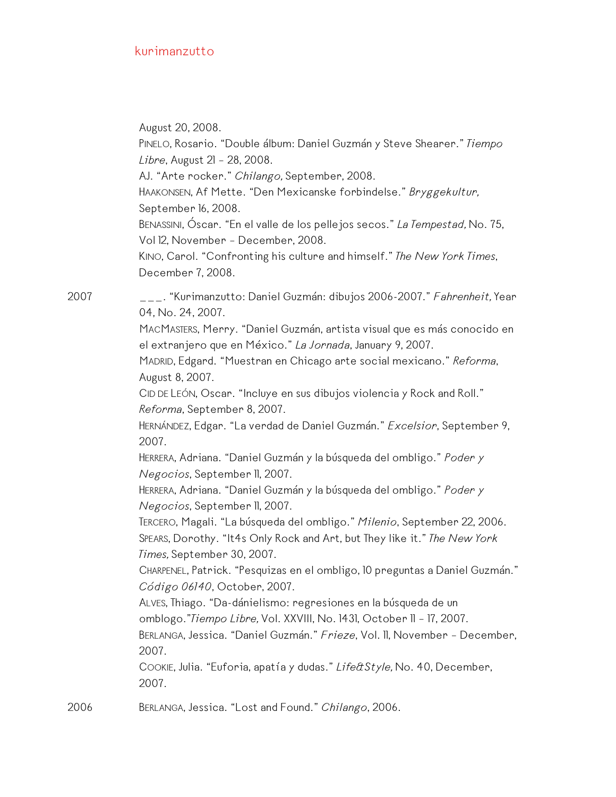August 20, 2008.

PINELO, Rosario. "Double álbum: Daniel Guzmán y Steve Shearer." *Tiempo Libre*, August 21 – 28, 2008.

AJ. "Arte rocker." *Chilango,* September, 2008.

HAAKONSEN, Af Mette. "Den Mexicanske forbindelse." *Bryggekultur,* September 16, 2008.

BENASSINI, Óscar. "En el valle de los pellejos secos." *La Tempestad,* No. 75, Vol 12, November – December, 2008.

KINO, Carol. "Confronting his culture and himself." *The New York Times*, December 7, 2008.

2007 \_\_\_. "Kurimanzutto: Daniel Guzmán: dibujos 2006-2007." *Fahrenheit,* Year 04, No. 24, 2007.

> MACMASTERS, Merry. "Daniel Guzmán, artista visual que es más conocido en el extranjero que en México." *La Jornada*, January 9, 2007.

MADRID, Edgard. "Muestran en Chicago arte social mexicano." *Reforma*, August 8, 2007.

CID DE LEÓN, Oscar. "Incluye en sus dibujos violencia y Rock and Roll." *Reforma*, September 8, 2007.

HERNÁNDEZ, Edgar. "La verdad de Daniel Guzmán." *Excelsior*, September 9, 2007.

HERRERA, Adriana. "Daniel Guzmán y la búsqueda del ombligo." *Poder y Negocios*, September 11, 2007.

HERRERA, Adriana. "Daniel Guzmán y la búsqueda del ombligo." *Poder y Negocios*, September 11, 2007.

TERCERO, Magali. "La búsqueda del ombligo." *Milenio*, September 22, 2006. SPEARS, Dorothy. "It4s Only Rock and Art, but They like it." *The New York*

*Times,* September 30, 2007. CHARPENEL, Patrick. "Pesquizas en el ombligo, 10 preguntas a Daniel Guzmán."

*Código 06140*, October, 2007.

ALVES, Thiago. "Da-dánielismo: regresiones en la búsqueda de un omblogo."*Tiempo Libre,* Vol. XXVIII, No. 1431, October 11 – 17, 2007. BERLANGA, Jessica. "Daniel Guzmán." *Frieze*, Vol. 11, November – December,

2007.

COOKIE, Julia. "Euforia, apatía y dudas." *Life&Style,* No. 40, December, 2007.

2006 BERLANGA, Jessica. "Lost and Found." *Chilango*, 2006.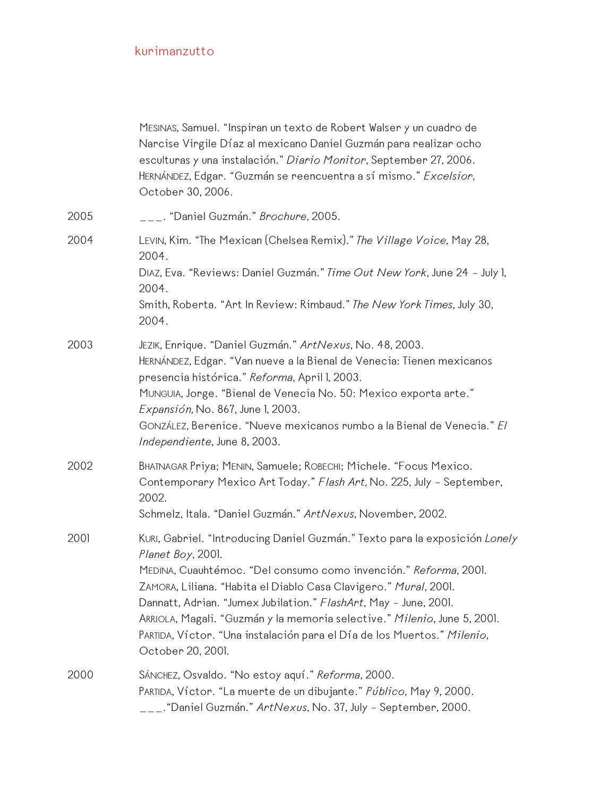|      | MESINAS, Samuel. "Inspiran un texto de Robert Walser y un cuadro de<br>Narcise Virgile Díaz al mexicano Daniel Guzmán para realizar ocho<br>esculturas y una instalación." Diario Monitor, September 27, 2006.<br>HERNÁNDEZ, Edgar. "Guzmán se reencuentra a sí mismo." Excelsion,<br>October 30, 2006.                                                                                                                                                                                  |
|------|------------------------------------------------------------------------------------------------------------------------------------------------------------------------------------------------------------------------------------------------------------------------------------------------------------------------------------------------------------------------------------------------------------------------------------------------------------------------------------------|
| 2005 | ___. "Daniel Guzmán." <i>Brochure</i> , 2005.                                                                                                                                                                                                                                                                                                                                                                                                                                            |
| 2004 | LEVIN, Kim. "The Mexican (Chelsea Remix)." The Village Voice, May 28,<br>2004.<br>DIAZ, Eva. "Reviews: Daniel Guzmán." Time Out New York, June 24 - July 1,<br>2004.<br>Smith, Roberta. "Art In Review: Rimbaud." The New York Times, July 30,<br>2004.                                                                                                                                                                                                                                  |
| 2003 | JEZIK, Enrique. "Daniel Guzmán." ArtNexus, No. 48, 2003.<br>HERNÁNDEZ, Edgar. "Van nueve a la Bienal de Venecia: Tienen mexicanos<br>presencia histórica." Reforma, April I, 2003.<br>MUNGUIA, Jorge. "Bienal de Venecia No. 50: Mexico exporta arte."<br>Expansión, No. 867, June 1, 2003.<br>GONZÁLEZ, Berenice. "Nueve mexicanos rumbo a la Bienal de Venecia." El<br>Independiente, June 8, 2003.                                                                                    |
| 2002 | BHATNAGAR Priya; MENIN, Samuele; ROBECHI; Michele. "Focus Mexico.<br>Contemporary Mexico Art Today." Flash Art, No. 225, July - September,<br>2002.<br>Schmelz, Itala. "Daniel Guzmán." ArtNexus, November, 2002.                                                                                                                                                                                                                                                                        |
| 2001 | KURI, Gabriel. "Introducing Daniel Guzmán." Texto para la exposición Lonely<br>Planet Boy, 2001.<br>MEDINA, Cuauhtémoc. "Del consumo como invención." Reforma, 2001.<br>ZAMORA, Liliana. "Habita el Diablo Casa Clavigero." Mural, 2001.<br>Dannatt, Adrian. "Jumex Jubilation." FlashArt, May - June, 2001.<br>ARRIOLA, Magali. "Guzmán y la memoria selective." Milenio, June 5, 2001.<br>PARTIDA, Víctor. "Una instalación para el Día de los Muertos." Milenio,<br>October 20, 2001. |
| 2000 | SÁNCHEZ, Osvaldo. "No estoy aquí." Reforma, 2000.<br>PARTIDA, Víctor. "La muerte de un dibujante." Público, May 9, 2000.<br>___."Daniel Guzmán." ArtNexus, No. 37, July - September, 2000.                                                                                                                                                                                                                                                                                               |